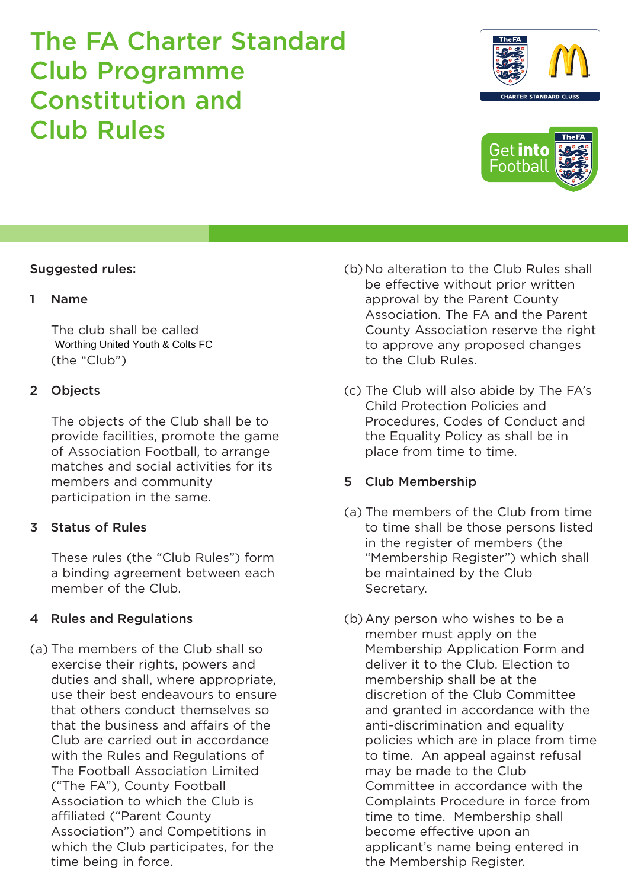### Suggested rules:

#### 1 Name

The club shall be called (the "Club") Worthing United Youth & Colts FC

### 2 Objects

The objects of the Club shall be to provide facilities, promote the game of Association Football, to arrange matches and social activities for its members and community participation in the same.

### 3 Status of Rules

These rules (the "Club Rules") form a binding agreement between each member of the Club.

### 4 Rules and Regulations

(a) The members of the Club shall so exercise their rights, powers and duties and shall, where appropriate, use their best endeavours to ensure that others conduct themselves so that the business and affairs of the Club are carried out in accordance with the Rules and Regulations of The Football Association Limited ("The FA"), County Football Association to which the Club is affiliated ("Parent County Association") and Competitions in which the Club participates, for the time being in force.

- (b) No alteration to the Club Rules shall be effective without prior written approval by the Parent County Association. The FA and the Parent County Association reserve the right to approve any proposed changes to the Club Rules.
- (c) The Club will also abide by The FA's Child Protection Policies and Procedures, Codes of Conduct and the Equality Policy as shall be in place from time to time.

### 5 Club Membership

- (a) The members of the Club from time to time shall be those persons listed in the register of members (the "Membership Register") which shall be maintained by the Club Secretary.
- (b) Any person who wishes to be a member must apply on the Membership Application Form and deliver it to the Club. Election to membership shall be at the discretion of the Club Committee and granted in accordance with the anti-discrimination and equality policies which are in place from time to time. An appeal against refusal may be made to the Club Committee in accordance with the Complaints Procedure in force from time to time. Membership shall become effective upon an applicant's name being entered in the Membership Register.



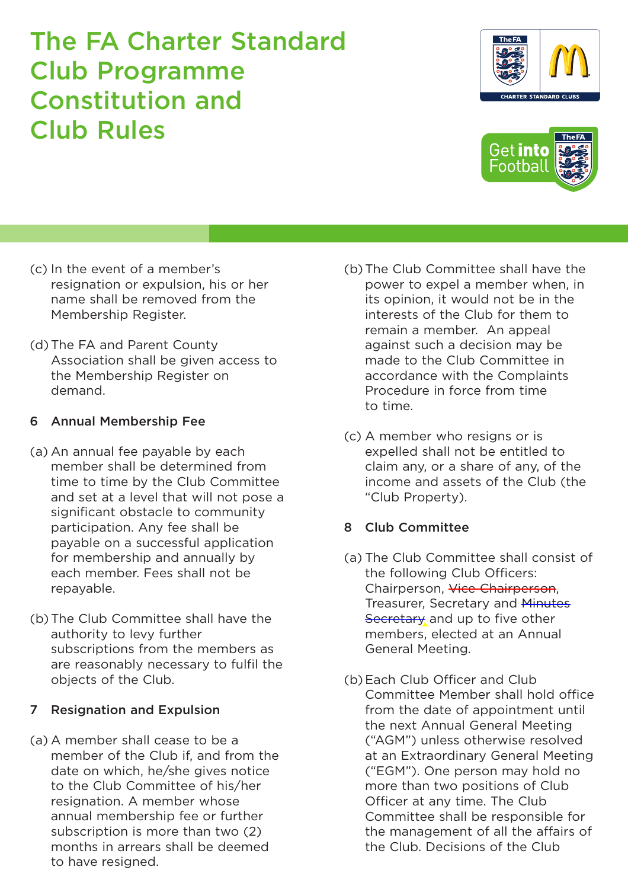- (c) In the event of a member's resignation or expulsion, his or her name shall be removed from the Membership Register.
- (d) The FA and Parent County Association shall be given access to the Membership Register on demand.

## 6 Annual Membership Fee

- (a) An annual fee payable by each member shall be determined from time to time by the Club Committee and set at a level that will not pose a significant obstacle to community participation. Any fee shall be payable on a successful application for membership and annually by each member. Fees shall not be repayable.
- (b) The Club Committee shall have the authority to levy further subscriptions from the members as are reasonably necessary to fulfil the objects of the Club.

## 7 Resignation and Expulsion

(a) A member shall cease to be a member of the Club if, and from the date on which, he/she gives notice to the Club Committee of his/her resignation. A member whose annual membership fee or further subscription is more than two (2) months in arrears shall be deemed to have resigned.

- (b) The Club Committee shall have the power to expel a member when, in its opinion, it would not be in the interests of the Club for them to remain a member. An appeal against such a decision may be made to the Club Committee in accordance with the Complaints Procedure in force from time to time.
- (c) A member who resigns or is expelled shall not be entitled to claim any, or a share of any, of the income and assets of the Club (the "Club Property).

## 8 Club Committee

- (a) The Club Committee shall consist of the following Club Officers: Chairperson, Vice Chairperson, Treasurer, Secretary and Minutes Secretary and up to five other members, elected at an Annual General Meeting.
- (b) Each Club Officer and Club Committee Member shall hold office from the date of appointment until the next Annual General Meeting ("AGM") unless otherwise resolved at an Extraordinary General Meeting ("EGM"). One person may hold no more than two positions of Club Officer at any time. The Club Committee shall be responsible for the management of all the affairs of the Club. Decisions of the Club



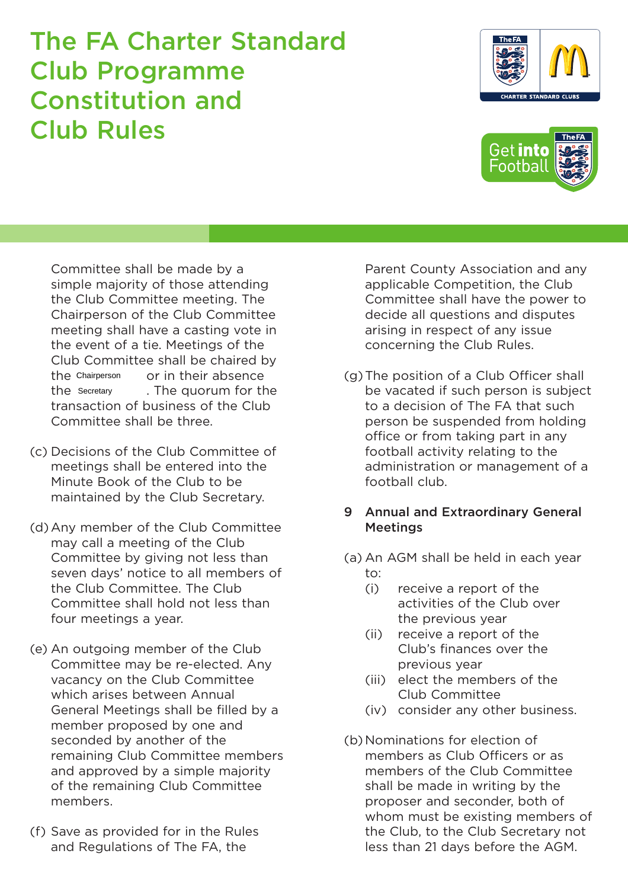Committee shall be made by a simple majority of those attending the Club Committee meeting. The Chairperson of the Club Committee meeting shall have a casting vote in the event of a tie. Meetings of the Club Committee shall be chaired by or in their absence the quorum for the transaction of business of the Club Committee shall be three. the Chairperson the Secretary

- (c) Decisions of the Club Committee of meetings shall be entered into the Minute Book of the Club to be maintained by the Club Secretary.
- (d) Any member of the Club Committee may call a meeting of the Club Committee by giving not less than seven days' notice to all members of the Club Committee. The Club Committee shall hold not less than four meetings a year.
- (e) An outgoing member of the Club Committee may be re-elected. Any vacancy on the Club Committee which arises between Annual General Meetings shall be filled by a member proposed by one and seconded by another of the remaining Club Committee members and approved by a simple majority of the remaining Club Committee members.
- (f) Save as provided for in the Rules and Regulations of The FA, the

Parent County Association and any applicable Competition, the Club Committee shall have the power to decide all questions and disputes arising in respect of any issue concerning the Club Rules.

(g)The position of a Club Officer shall be vacated if such person is subject to a decision of The FA that such person be suspended from holding office or from taking part in any football activity relating to the administration or management of a football club.

### 9 Annual and Extraordinary General **Meetings**

- (a) An AGM shall be held in each year to:
	- (i) receive a report of the activities of the Club over the previous year
	- (ii) receive a report of the Club's finances over the previous year
	- (iii) elect the members of the Club Committee
	- (iv) consider any other business.
- (b) Nominations for election of members as Club Officers or as members of the Club Committee shall be made in writing by the proposer and seconder, both of whom must be existing members of the Club, to the Club Secretary not less than 21 days before the AGM.



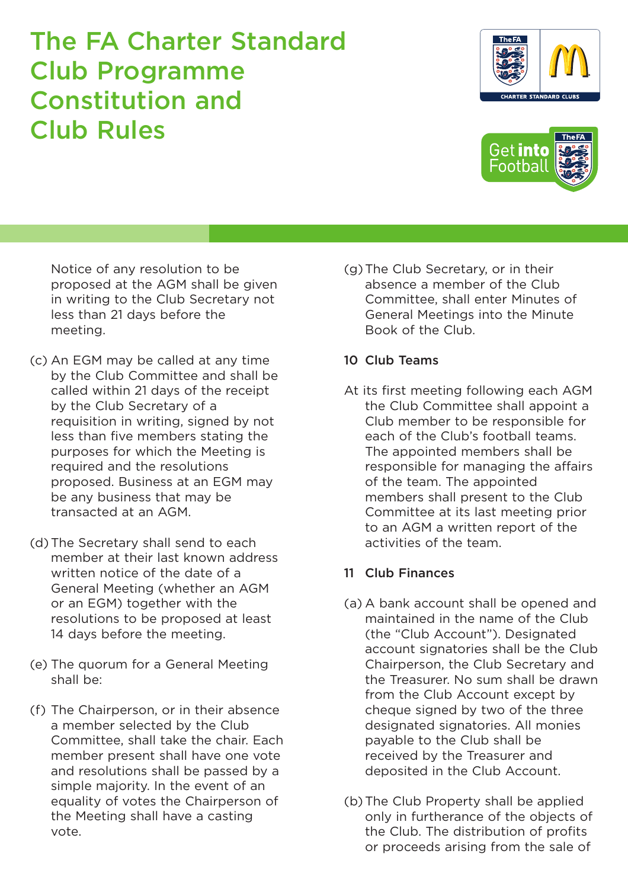Notice of any resolution to be proposed at the AGM shall be given in writing to the Club Secretary not less than 21 days before the meeting.

- (c) An EGM may be called at any time by the Club Committee and shall be called within 21 days of the receipt by the Club Secretary of a requisition in writing, signed by not less than five members stating the purposes for which the Meeting is required and the resolutions proposed. Business at an EGM may be any business that may be transacted at an AGM.
- (d) The Secretary shall send to each member at their last known address written notice of the date of a General Meeting (whether an AGM or an EGM) together with the resolutions to be proposed at least 14 days before the meeting.
- (e) The quorum for a General Meeting shall be:
- (f) The Chairperson, or in their absence a member selected by the Club Committee, shall take the chair. Each member present shall have one vote and resolutions shall be passed by a simple majority. In the event of an equality of votes the Chairperson of the Meeting shall have a casting vote.

(g)The Club Secretary, or in their absence a member of the Club Committee, shall enter Minutes of General Meetings into the Minute Book of the Club.

## 10 Club Teams

At its first meeting following each AGM the Club Committee shall appoint a Club member to be responsible for each of the Club's football teams. The appointed members shall be responsible for managing the affairs of the team. The appointed members shall present to the Club Committee at its last meeting prior to an AGM a written report of the activities of the team.

## 11 Club Finances

- (a) A bank account shall be opened and maintained in the name of the Club (the "Club Account"). Designated account signatories shall be the Club Chairperson, the Club Secretary and the Treasurer. No sum shall be drawn from the Club Account except by cheque signed by two of the three designated signatories. All monies payable to the Club shall be received by the Treasurer and deposited in the Club Account.
- (b) The Club Property shall be applied only in furtherance of the objects of the Club. The distribution of profits or proceeds arising from the sale of



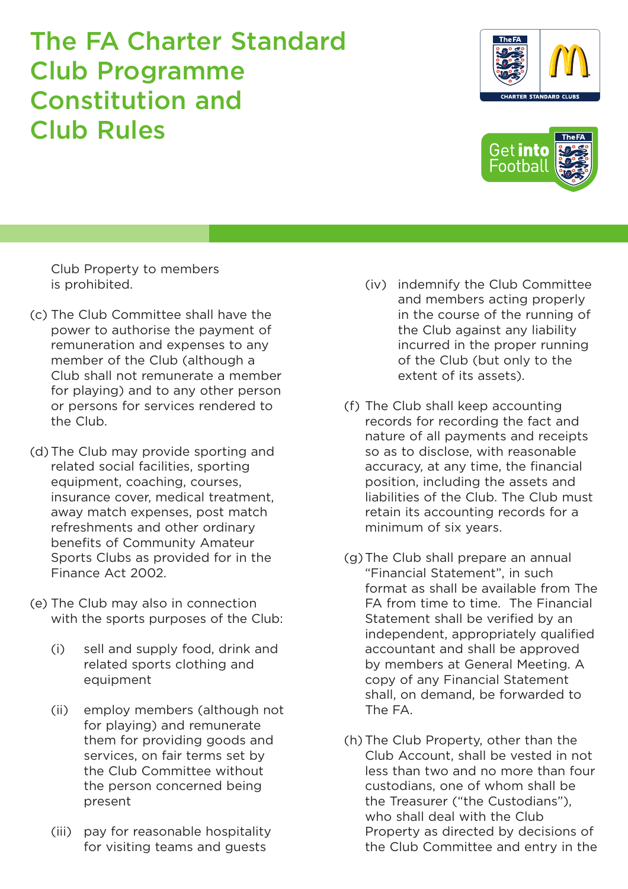Club Property to members is prohibited.

- (c) The Club Committee shall have the power to authorise the payment of remuneration and expenses to any member of the Club (although a Club shall not remunerate a member for playing) and to any other person or persons for services rendered to the Club.
- (d) The Club may provide sporting and related social facilities, sporting equipment, coaching, courses, insurance cover, medical treatment, away match expenses, post match refreshments and other ordinary benefits of Community Amateur Sports Clubs as provided for in the Finance Act 2002.
- (e) The Club may also in connection with the sports purposes of the Club:
	- (i) sell and supply food, drink and related sports clothing and equipment
	- (ii) employ members (although not for playing) and remunerate them for providing goods and services, on fair terms set by the Club Committee without the person concerned being present
	- (iii) pay for reasonable hospitality for visiting teams and guests
- (iv) indemnify the Club Committee and members acting properly in the course of the running of the Club against any liability incurred in the proper running of the Club (but only to the extent of its assets).
- (f) The Club shall keep accounting records for recording the fact and nature of all payments and receipts so as to disclose, with reasonable accuracy, at any time, the financial position, including the assets and liabilities of the Club. The Club must retain its accounting records for a minimum of six years.
- (g)The Club shall prepare an annual "Financial Statement", in such format as shall be available from The FA from time to time. The Financial Statement shall be verified by an independent, appropriately qualified accountant and shall be approved by members at General Meeting. A copy of any Financial Statement shall, on demand, be forwarded to The FA.
- (h) The Club Property, other than the Club Account, shall be vested in not less than two and no more than four custodians, one of whom shall be the Treasurer ("the Custodians"), who shall deal with the Club Property as directed by decisions of the Club Committee and entry in the